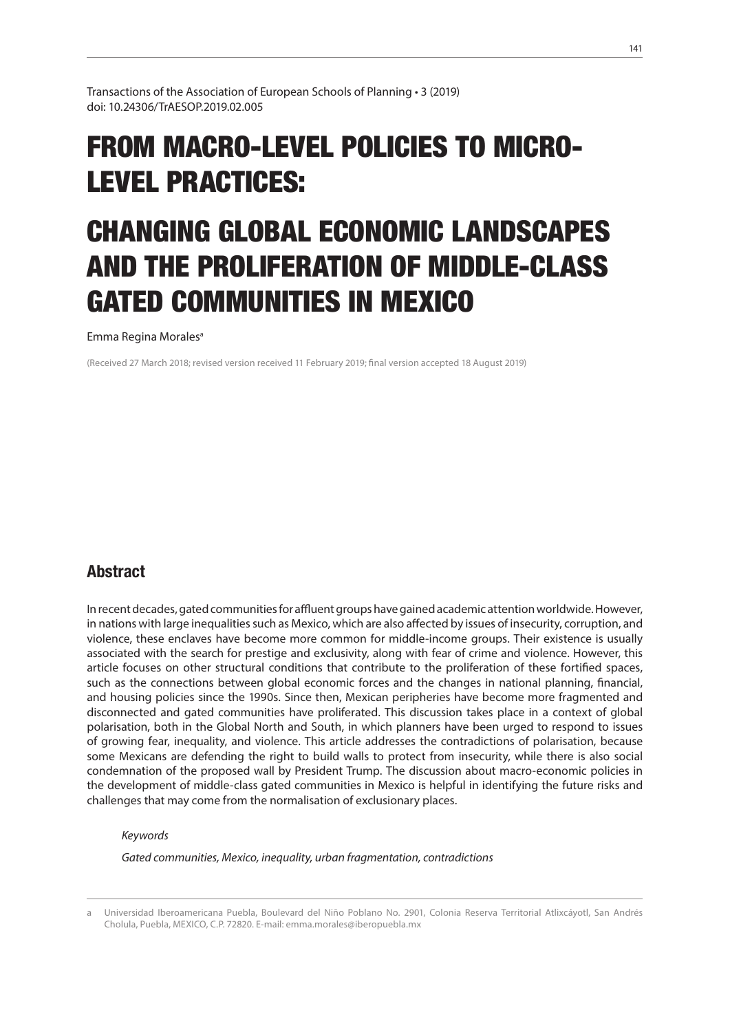Transactions of the Association of European Schools of Planning • 3 (2019) doi: 10.24306/TrAESOP.2019.02.005

# FROM MACRO-LEVEL POLICIES TO MICRO-LEVEL PRACTICES:

# CHANGING GLOBAL ECONOMIC LANDSCAPES AND THE PROLIFERATION OF MIDDLE-CLASS GATED COMMUNITIES IN MEXICO

Emma Regina Morales<sup>a</sup>

(Received 27 March 2018; revised version received 11 February 2019; final version accepted 18 August 2019)

## **Abstract**

In recent decades, gated communities for affluent groups have gained academic attention worldwide. However, in nations with large inequalities such as Mexico, which are also affected by issues of insecurity, corruption, and violence, these enclaves have become more common for middle-income groups. Their existence is usually associated with the search for prestige and exclusivity, along with fear of crime and violence. However, this article focuses on other structural conditions that contribute to the proliferation of these fortified spaces, such as the connections between global economic forces and the changes in national planning, financial, and housing policies since the 1990s. Since then, Mexican peripheries have become more fragmented and disconnected and gated communities have proliferated. This discussion takes place in a context of global polarisation, both in the Global North and South, in which planners have been urged to respond to issues of growing fear, inequality, and violence. This article addresses the contradictions of polarisation, because some Mexicans are defending the right to build walls to protect from insecurity, while there is also social condemnation of the proposed wall by President Trump. The discussion about macro-economic policies in the development of middle-class gated communities in Mexico is helpful in identifying the future risks and challenges that may come from the normalisation of exclusionary places.

*Keywords* 

*Gated communities, Mexico, inequality, urban fragmentation, contradictions*

a Universidad Iberoamericana Puebla, Boulevard del Niño Poblano No. 2901, Colonia Reserva Territorial Atlixcáyotl, San Andrés Cholula, Puebla, MEXICO, C.P. 72820. E-mail: emma.morales@iberopuebla.mx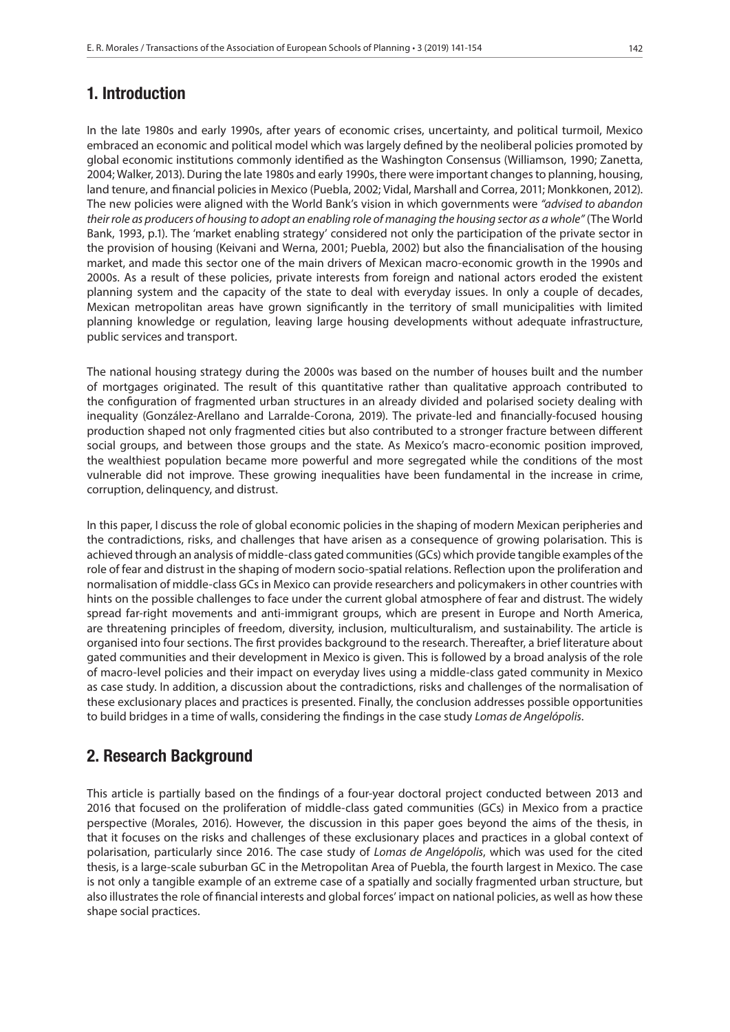### 1. Introduction

In the late 1980s and early 1990s, after years of economic crises, uncertainty, and political turmoil, Mexico embraced an economic and political model which was largely defined by the neoliberal policies promoted by global economic institutions commonly identified as the Washington Consensus (Williamson, 1990; Zanetta, 2004; Walker, 2013). During the late 1980s and early 1990s, there were important changes to planning, housing, land tenure, and financial policies in Mexico (Puebla, 2002; Vidal, Marshall and Correa, 2011; Monkkonen, 2012). The new policies were aligned with the World Bank's vision in which governments were *"advised to abandon their role as producers of housing to adopt an enabling role of managing the housing sector as a whole"* (The World Bank, 1993, p.1). The 'market enabling strategy' considered not only the participation of the private sector in the provision of housing (Keivani and Werna, 2001; Puebla, 2002) but also the financialisation of the housing market, and made this sector one of the main drivers of Mexican macro-economic growth in the 1990s and 2000s. As a result of these policies, private interests from foreign and national actors eroded the existent planning system and the capacity of the state to deal with everyday issues. In only a couple of decades, Mexican metropolitan areas have grown significantly in the territory of small municipalities with limited planning knowledge or regulation, leaving large housing developments without adequate infrastructure, public services and transport.

The national housing strategy during the 2000s was based on the number of houses built and the number of mortgages originated. The result of this quantitative rather than qualitative approach contributed to the configuration of fragmented urban structures in an already divided and polarised society dealing with inequality (González-Arellano and Larralde-Corona, 2019). The private-led and financially-focused housing production shaped not only fragmented cities but also contributed to a stronger fracture between different social groups, and between those groups and the state. As Mexico's macro-economic position improved, the wealthiest population became more powerful and more segregated while the conditions of the most vulnerable did not improve. These growing inequalities have been fundamental in the increase in crime, corruption, delinquency, and distrust.

In this paper, I discuss the role of global economic policies in the shaping of modern Mexican peripheries and the contradictions, risks, and challenges that have arisen as a consequence of growing polarisation. This is achieved through an analysis of middle-class gated communities (GCs) which provide tangible examples of the role of fear and distrust in the shaping of modern socio-spatial relations. Reflection upon the proliferation and normalisation of middle-class GCs in Mexico can provide researchers and policymakers in other countries with hints on the possible challenges to face under the current global atmosphere of fear and distrust. The widely spread far-right movements and anti-immigrant groups, which are present in Europe and North America, are threatening principles of freedom, diversity, inclusion, multiculturalism, and sustainability. The article is organised into four sections. The first provides background to the research. Thereafter, a brief literature about gated communities and their development in Mexico is given. This is followed by a broad analysis of the role of macro-level policies and their impact on everyday lives using a middle-class gated community in Mexico as case study. In addition, a discussion about the contradictions, risks and challenges of the normalisation of these exclusionary places and practices is presented. Finally, the conclusion addresses possible opportunities to build bridges in a time of walls, considering the findings in the case study *Lomas de Angelópolis*.

### 2. Research Background

This article is partially based on the findings of a four-year doctoral project conducted between 2013 and 2016 that focused on the proliferation of middle-class gated communities (GCs) in Mexico from a practice perspective (Morales, 2016). However, the discussion in this paper goes beyond the aims of the thesis, in that it focuses on the risks and challenges of these exclusionary places and practices in a global context of polarisation, particularly since 2016. The case study of *Lomas de Angelópolis*, which was used for the cited thesis, is a large-scale suburban GC in the Metropolitan Area of Puebla, the fourth largest in Mexico. The case is not only a tangible example of an extreme case of a spatially and socially fragmented urban structure, but also illustrates the role of financial interests and global forces' impact on national policies, as well as how these shape social practices.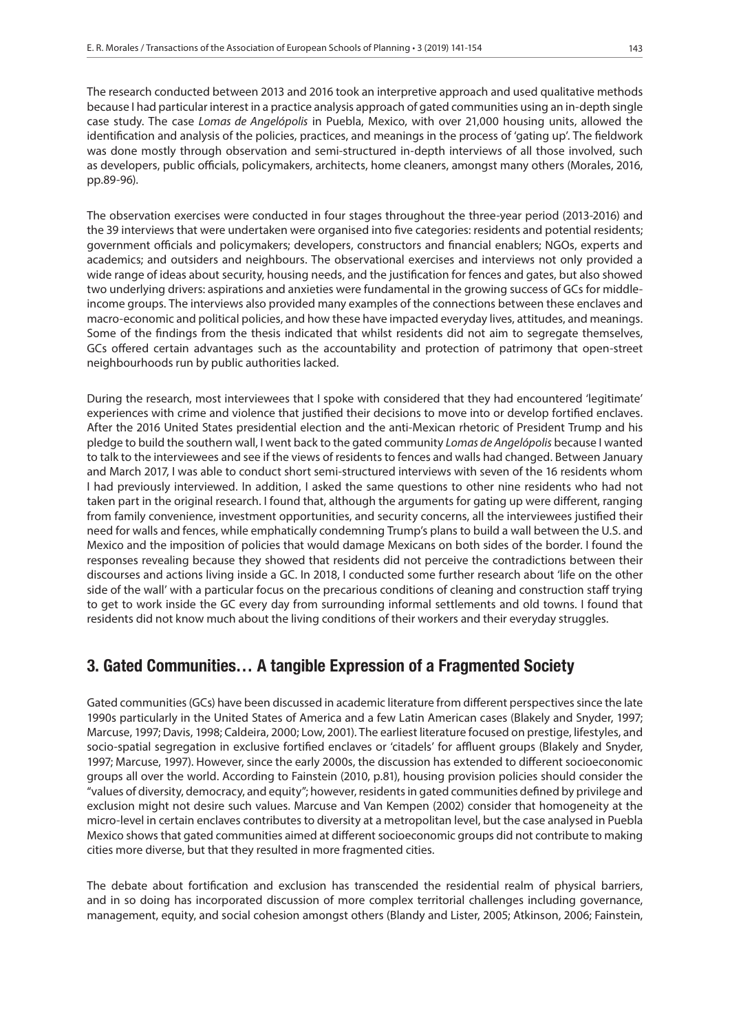The research conducted between 2013 and 2016 took an interpretive approach and used qualitative methods because I had particular interest in a practice analysis approach of gated communities using an in-depth single case study. The case *Lomas de Angelópolis* in Puebla, Mexico, with over 21,000 housing units, allowed the identification and analysis of the policies, practices, and meanings in the process of 'gating up'. The fieldwork was done mostly through observation and semi-structured in-depth interviews of all those involved, such as developers, public officials, policymakers, architects, home cleaners, amongst many others (Morales, 2016, pp.89-96).

The observation exercises were conducted in four stages throughout the three-year period (2013-2016) and the 39 interviews that were undertaken were organised into five categories: residents and potential residents; government officials and policymakers; developers, constructors and financial enablers; NGOs, experts and academics; and outsiders and neighbours. The observational exercises and interviews not only provided a wide range of ideas about security, housing needs, and the justification for fences and gates, but also showed two underlying drivers: aspirations and anxieties were fundamental in the growing success of GCs for middleincome groups. The interviews also provided many examples of the connections between these enclaves and macro-economic and political policies, and how these have impacted everyday lives, attitudes, and meanings. Some of the findings from the thesis indicated that whilst residents did not aim to segregate themselves, GCs offered certain advantages such as the accountability and protection of patrimony that open-street neighbourhoods run by public authorities lacked.

During the research, most interviewees that I spoke with considered that they had encountered 'legitimate' experiences with crime and violence that justified their decisions to move into or develop fortified enclaves. After the 2016 United States presidential election and the anti-Mexican rhetoric of President Trump and his pledge to build the southern wall, I went back to the gated community *Lomas de Angelópolis* because I wanted to talk to the interviewees and see if the views of residents to fences and walls had changed. Between January and March 2017, I was able to conduct short semi-structured interviews with seven of the 16 residents whom I had previously interviewed. In addition, I asked the same questions to other nine residents who had not taken part in the original research. I found that, although the arguments for gating up were different, ranging from family convenience, investment opportunities, and security concerns, all the interviewees justified their need for walls and fences, while emphatically condemning Trump's plans to build a wall between the U.S. and Mexico and the imposition of policies that would damage Mexicans on both sides of the border. I found the responses revealing because they showed that residents did not perceive the contradictions between their discourses and actions living inside a GC. In 2018, I conducted some further research about 'life on the other side of the wall' with a particular focus on the precarious conditions of cleaning and construction staff trying to get to work inside the GC every day from surrounding informal settlements and old towns. I found that residents did not know much about the living conditions of their workers and their everyday struggles.

# 3. Gated Communities… A tangible Expression of a Fragmented Society

Gated communities (GCs) have been discussed in academic literature from different perspectives since the late 1990s particularly in the United States of America and a few Latin American cases (Blakely and Snyder, 1997; Marcuse, 1997; Davis, 1998; Caldeira, 2000; Low, 2001). The earliest literature focused on prestige, lifestyles, and socio-spatial segregation in exclusive fortified enclaves or 'citadels' for affluent groups (Blakely and Snyder, 1997; Marcuse, 1997). However, since the early 2000s, the discussion has extended to different socioeconomic groups all over the world. According to Fainstein (2010, p.81), housing provision policies should consider the "values of diversity, democracy, and equity"; however, residents in gated communities defined by privilege and exclusion might not desire such values. Marcuse and Van Kempen (2002) consider that homogeneity at the micro-level in certain enclaves contributes to diversity at a metropolitan level, but the case analysed in Puebla Mexico shows that gated communities aimed at different socioeconomic groups did not contribute to making cities more diverse, but that they resulted in more fragmented cities.

The debate about fortification and exclusion has transcended the residential realm of physical barriers, and in so doing has incorporated discussion of more complex territorial challenges including governance, management, equity, and social cohesion amongst others (Blandy and Lister, 2005; Atkinson, 2006; Fainstein,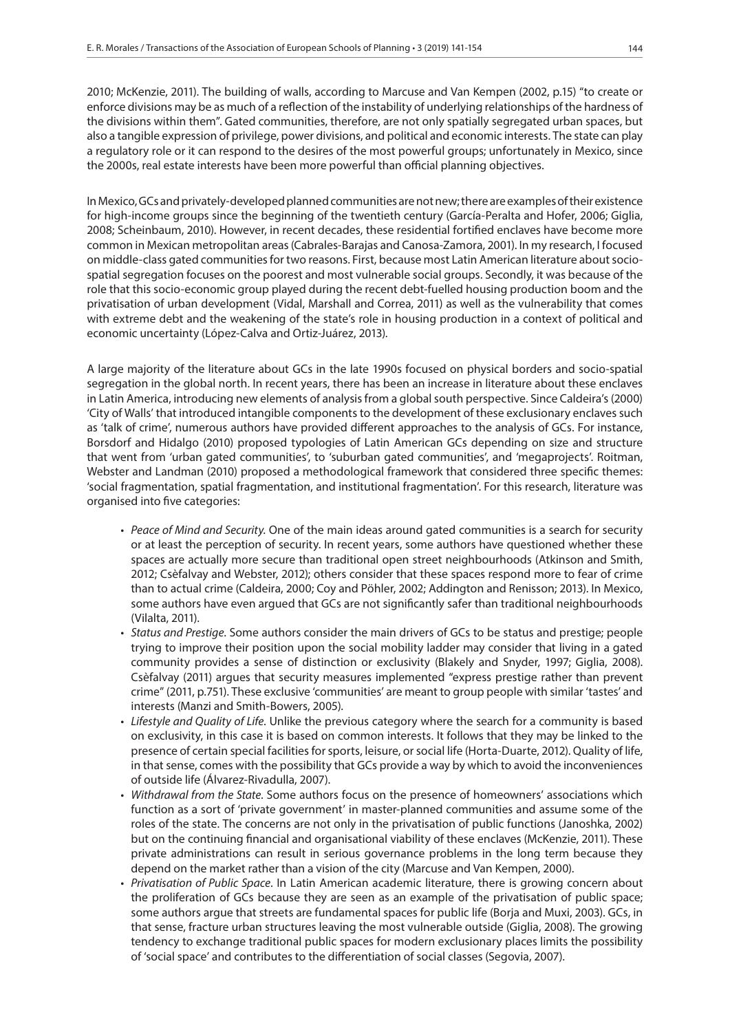2010; McKenzie, 2011). The building of walls, according to Marcuse and Van Kempen (2002, p.15) "to create or enforce divisions may be as much of a reflection of the instability of underlying relationships of the hardness of the divisions within them". Gated communities, therefore, are not only spatially segregated urban spaces, but also a tangible expression of privilege, power divisions, and political and economic interests. The state can play a regulatory role or it can respond to the desires of the most powerful groups; unfortunately in Mexico, since the 2000s, real estate interests have been more powerful than official planning objectives.

In Mexico, GCs and privately-developed planned communities are not new; there are examples of their existence for high-income groups since the beginning of the twentieth century (García-Peralta and Hofer, 2006; Giglia, 2008; Scheinbaum, 2010). However, in recent decades, these residential fortified enclaves have become more common in Mexican metropolitan areas (Cabrales-Barajas and Canosa-Zamora, 2001). In my research, I focused on middle-class gated communities for two reasons. First, because most Latin American literature about sociospatial segregation focuses on the poorest and most vulnerable social groups. Secondly, it was because of the role that this socio-economic group played during the recent debt-fuelled housing production boom and the privatisation of urban development (Vidal, Marshall and Correa, 2011) as well as the vulnerability that comes with extreme debt and the weakening of the state's role in housing production in a context of political and economic uncertainty (López-Calva and Ortiz-Juárez, 2013).

A large majority of the literature about GCs in the late 1990s focused on physical borders and socio-spatial segregation in the global north. In recent years, there has been an increase in literature about these enclaves in Latin America, introducing new elements of analysis from a global south perspective. Since Caldeira's (2000) 'City of Walls' that introduced intangible components to the development of these exclusionary enclaves such as 'talk of crime', numerous authors have provided different approaches to the analysis of GCs. For instance, Borsdorf and Hidalgo (2010) proposed typologies of Latin American GCs depending on size and structure that went from 'urban gated communities', to 'suburban gated communities', and 'megaprojects'. Roitman, Webster and Landman (2010) proposed a methodological framework that considered three specific themes: 'social fragmentation, spatial fragmentation, and institutional fragmentation'. For this research, literature was organised into five categories:

- *Peace of Mind and Security*. One of the main ideas around gated communities is a search for security or at least the perception of security. In recent years, some authors have questioned whether these spaces are actually more secure than traditional open street neighbourhoods (Atkinson and Smith, 2012; Csèfalvay and Webster, 2012); others consider that these spaces respond more to fear of crime than to actual crime (Caldeira, 2000; Coy and Pöhler, 2002; Addington and Renisson; 2013). In Mexico, some authors have even argued that GCs are not significantly safer than traditional neighbourhoods (Vilalta, 2011).
- *Status and Prestige*. Some authors consider the main drivers of GCs to be status and prestige; people trying to improve their position upon the social mobility ladder may consider that living in a gated community provides a sense of distinction or exclusivity (Blakely and Snyder, 1997; Giglia, 2008). Csèfalvay (2011) argues that security measures implemented "express prestige rather than prevent crime" (2011, p.751). These exclusive 'communities' are meant to group people with similar 'tastes' and interests (Manzi and Smith-Bowers, 2005).
- *Lifestyle and Quality of Life*. Unlike the previous category where the search for a community is based on exclusivity, in this case it is based on common interests. It follows that they may be linked to the presence of certain special facilities for sports, leisure, or social life (Horta-Duarte, 2012). Quality of life, in that sense, comes with the possibility that GCs provide a way by which to avoid the inconveniences of outside life (Álvarez-Rivadulla, 2007).
- *Withdrawal from the State*. Some authors focus on the presence of homeowners' associations which function as a sort of 'private government' in master-planned communities and assume some of the roles of the state. The concerns are not only in the privatisation of public functions (Janoshka, 2002) but on the continuing financial and organisational viability of these enclaves (McKenzie, 2011). These private administrations can result in serious governance problems in the long term because they depend on the market rather than a vision of the city (Marcuse and Van Kempen, 2000).
- *Privatisation of Public Space*. In Latin American academic literature, there is growing concern about the proliferation of GCs because they are seen as an example of the privatisation of public space; some authors argue that streets are fundamental spaces for public life (Borja and Muxi, 2003). GCs, in that sense, fracture urban structures leaving the most vulnerable outside (Giglia, 2008). The growing tendency to exchange traditional public spaces for modern exclusionary places limits the possibility of 'social space' and contributes to the differentiation of social classes (Segovia, 2007).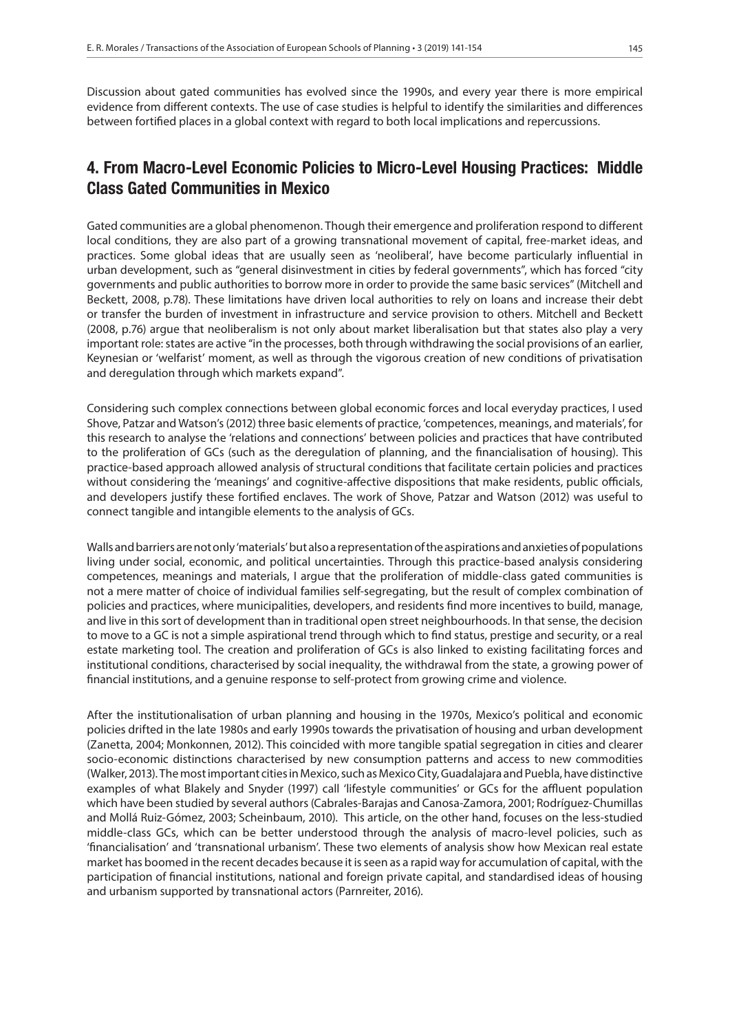Discussion about gated communities has evolved since the 1990s, and every year there is more empirical evidence from different contexts. The use of case studies is helpful to identify the similarities and differences between fortified places in a global context with regard to both local implications and repercussions.

# 4. From Macro-Level Economic Policies to Micro-Level Housing Practices: Middle Class Gated Communities in Mexico

Gated communities are a global phenomenon. Though their emergence and proliferation respond to different local conditions, they are also part of a growing transnational movement of capital, free-market ideas, and practices. Some global ideas that are usually seen as 'neoliberal', have become particularly influential in urban development, such as "general disinvestment in cities by federal governments", which has forced "city governments and public authorities to borrow more in order to provide the same basic services" (Mitchell and Beckett, 2008, p.78). These limitations have driven local authorities to rely on loans and increase their debt or transfer the burden of investment in infrastructure and service provision to others. Mitchell and Beckett (2008, p.76) argue that neoliberalism is not only about market liberalisation but that states also play a very important role: states are active "in the processes, both through withdrawing the social provisions of an earlier, Keynesian or 'welfarist' moment, as well as through the vigorous creation of new conditions of privatisation and deregulation through which markets expand".

Considering such complex connections between global economic forces and local everyday practices, I used Shove, Patzar and Watson's (2012) three basic elements of practice, 'competences, meanings, and materials', for this research to analyse the 'relations and connections' between policies and practices that have contributed to the proliferation of GCs (such as the deregulation of planning, and the financialisation of housing). This practice-based approach allowed analysis of structural conditions that facilitate certain policies and practices without considering the 'meanings' and cognitive-affective dispositions that make residents, public officials, and developers justify these fortified enclaves. The work of Shove, Patzar and Watson (2012) was useful to connect tangible and intangible elements to the analysis of GCs.

Walls and barriers are not only 'materials' but also a representation of the aspirations and anxieties of populations living under social, economic, and political uncertainties. Through this practice-based analysis considering competences, meanings and materials, I argue that the proliferation of middle-class gated communities is not a mere matter of choice of individual families self-segregating, but the result of complex combination of policies and practices, where municipalities, developers, and residents find more incentives to build, manage, and live in this sort of development than in traditional open street neighbourhoods. In that sense, the decision to move to a GC is not a simple aspirational trend through which to find status, prestige and security, or a real estate marketing tool. The creation and proliferation of GCs is also linked to existing facilitating forces and institutional conditions, characterised by social inequality, the withdrawal from the state, a growing power of financial institutions, and a genuine response to self-protect from growing crime and violence.

After the institutionalisation of urban planning and housing in the 1970s, Mexico's political and economic policies drifted in the late 1980s and early 1990s towards the privatisation of housing and urban development (Zanetta, 2004; Monkonnen, 2012). This coincided with more tangible spatial segregation in cities and clearer socio-economic distinctions characterised by new consumption patterns and access to new commodities (Walker, 2013). The most important cities in Mexico, such as Mexico City, Guadalajara and Puebla, have distinctive examples of what Blakely and Snyder (1997) call 'lifestyle communities' or GCs for the affluent population which have been studied by several authors (Cabrales-Barajas and Canosa-Zamora, 2001; Rodríguez-Chumillas and Mollá Ruiz-Gómez, 2003; Scheinbaum, 2010). This article, on the other hand, focuses on the less-studied middle-class GCs, which can be better understood through the analysis of macro-level policies, such as 'financialisation' and 'transnational urbanism'. These two elements of analysis show how Mexican real estate market has boomed in the recent decades because it is seen as a rapid way for accumulation of capital, with the participation of financial institutions, national and foreign private capital, and standardised ideas of housing and urbanism supported by transnational actors (Parnreiter, 2016).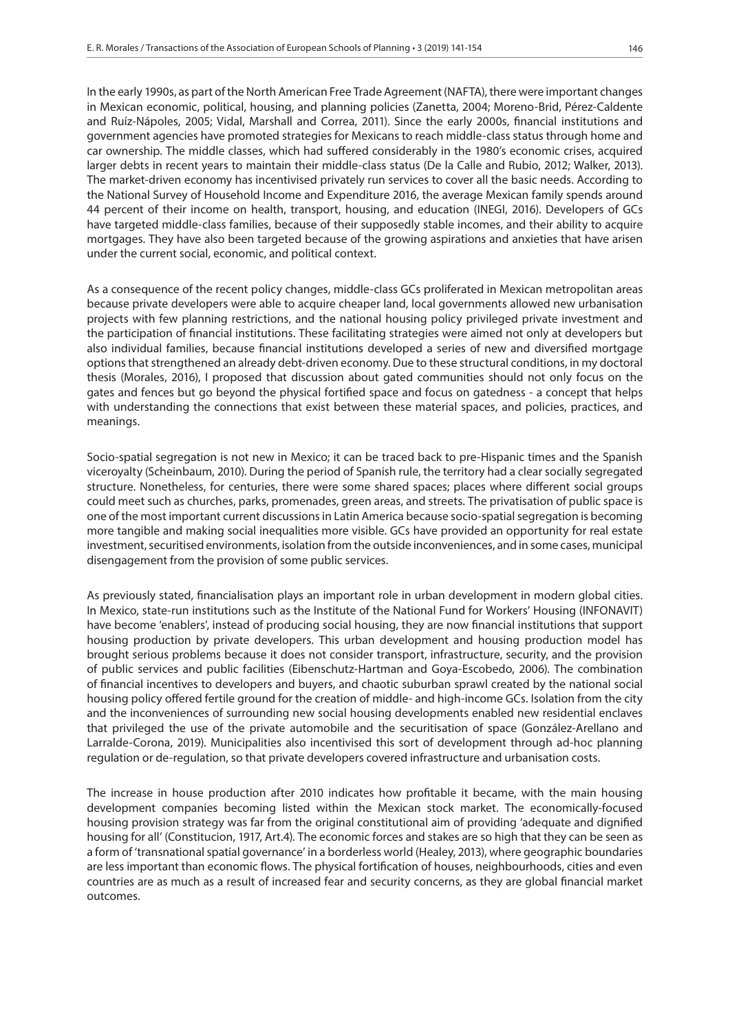In the early 1990s, as part of the North American Free Trade Agreement (NAFTA), there were important changes in Mexican economic, political, housing, and planning policies (Zanetta, 2004; Moreno-Brid, Pérez-Caldente and Ruíz-Nápoles, 2005; Vidal, Marshall and Correa, 2011). Since the early 2000s, financial institutions and government agencies have promoted strategies for Mexicans to reach middle-class status through home and car ownership. The middle classes, which had suffered considerably in the 1980's economic crises, acquired larger debts in recent years to maintain their middle-class status (De la Calle and Rubio, 2012; Walker, 2013). The market-driven economy has incentivised privately run services to cover all the basic needs. According to the National Survey of Household Income and Expenditure 2016, the average Mexican family spends around 44 percent of their income on health, transport, housing, and education (INEGI, 2016). Developers of GCs have targeted middle-class families, because of their supposedly stable incomes, and their ability to acquire mortgages. They have also been targeted because of the growing aspirations and anxieties that have arisen under the current social, economic, and political context.

As a consequence of the recent policy changes, middle-class GCs proliferated in Mexican metropolitan areas because private developers were able to acquire cheaper land, local governments allowed new urbanisation projects with few planning restrictions, and the national housing policy privileged private investment and the participation of financial institutions. These facilitating strategies were aimed not only at developers but also individual families, because financial institutions developed a series of new and diversified mortgage options that strengthened an already debt-driven economy. Due to these structural conditions, in my doctoral thesis (Morales, 2016), I proposed that discussion about gated communities should not only focus on the gates and fences but go beyond the physical fortified space and focus on gatedness - a concept that helps with understanding the connections that exist between these material spaces, and policies, practices, and meanings.

Socio-spatial segregation is not new in Mexico; it can be traced back to pre-Hispanic times and the Spanish viceroyalty (Scheinbaum, 2010). During the period of Spanish rule, the territory had a clear socially segregated structure. Nonetheless, for centuries, there were some shared spaces; places where different social groups could meet such as churches, parks, promenades, green areas, and streets. The privatisation of public space is one of the most important current discussions in Latin America because socio-spatial segregation is becoming more tangible and making social inequalities more visible. GCs have provided an opportunity for real estate investment, securitised environments, isolation from the outside inconveniences, and in some cases, municipal disengagement from the provision of some public services.

As previously stated, financialisation plays an important role in urban development in modern global cities. In Mexico, state-run institutions such as the Institute of the National Fund for Workers' Housing (INFONAVIT) have become 'enablers', instead of producing social housing, they are now financial institutions that support housing production by private developers. This urban development and housing production model has brought serious problems because it does not consider transport, infrastructure, security, and the provision of public services and public facilities (Eibenschutz-Hartman and Goya-Escobedo, 2006). The combination of financial incentives to developers and buyers, and chaotic suburban sprawl created by the national social housing policy offered fertile ground for the creation of middle- and high-income GCs. Isolation from the city and the inconveniences of surrounding new social housing developments enabled new residential enclaves that privileged the use of the private automobile and the securitisation of space (González-Arellano and Larralde-Corona, 2019). Municipalities also incentivised this sort of development through ad-hoc planning regulation or de-regulation, so that private developers covered infrastructure and urbanisation costs.

The increase in house production after 2010 indicates how profitable it became, with the main housing development companies becoming listed within the Mexican stock market. The economically-focused housing provision strategy was far from the original constitutional aim of providing 'adequate and dignified housing for all' (Constitucion, 1917, Art.4). The economic forces and stakes are so high that they can be seen as a form of 'transnational spatial governance' in a borderless world (Healey, 2013), where geographic boundaries are less important than economic flows. The physical fortification of houses, neighbourhoods, cities and even countries are as much as a result of increased fear and security concerns, as they are global financial market outcomes.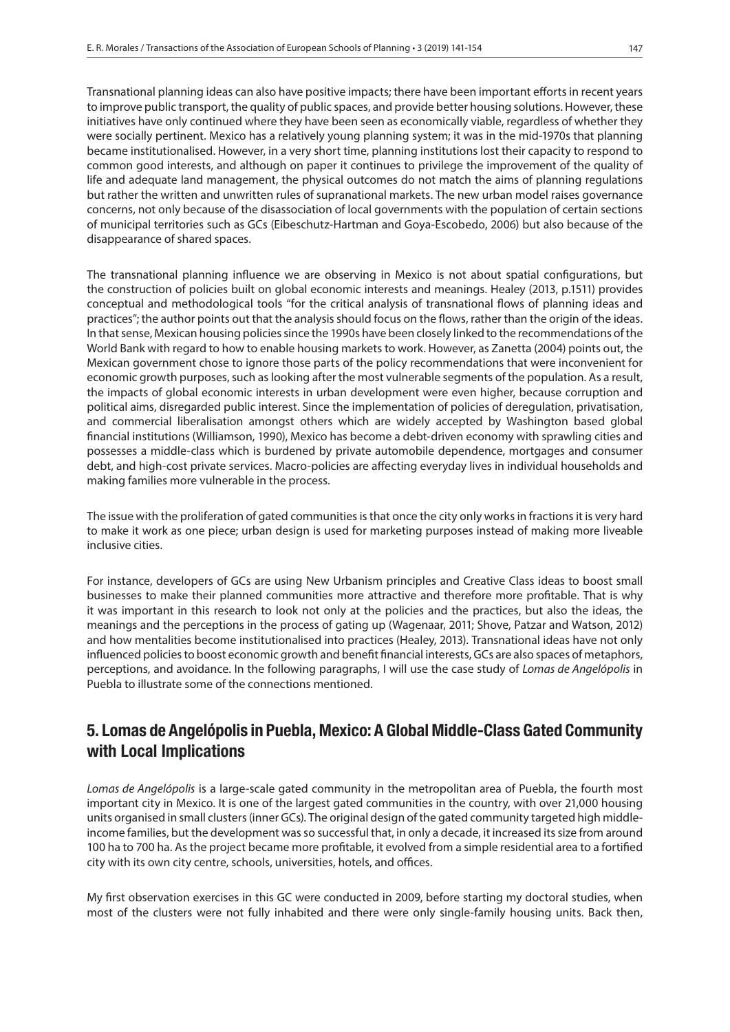Transnational planning ideas can also have positive impacts; there have been important efforts in recent years to improve public transport, the quality of public spaces, and provide better housing solutions. However, these initiatives have only continued where they have been seen as economically viable, regardless of whether they were socially pertinent. Mexico has a relatively young planning system; it was in the mid-1970s that planning became institutionalised. However, in a very short time, planning institutions lost their capacity to respond to common good interests, and although on paper it continues to privilege the improvement of the quality of life and adequate land management, the physical outcomes do not match the aims of planning regulations but rather the written and unwritten rules of supranational markets. The new urban model raises governance concerns, not only because of the disassociation of local governments with the population of certain sections of municipal territories such as GCs (Eibeschutz-Hartman and Goya-Escobedo, 2006) but also because of the disappearance of shared spaces.

The transnational planning influence we are observing in Mexico is not about spatial configurations, but the construction of policies built on global economic interests and meanings. Healey (2013, p.1511) provides conceptual and methodological tools "for the critical analysis of transnational flows of planning ideas and practices"; the author points out that the analysis should focus on the flows, rather than the origin of the ideas. In that sense, Mexican housing policies since the 1990s have been closely linked to the recommendations of the World Bank with regard to how to enable housing markets to work. However, as Zanetta (2004) points out, the Mexican government chose to ignore those parts of the policy recommendations that were inconvenient for economic growth purposes, such as looking after the most vulnerable segments of the population. As a result, the impacts of global economic interests in urban development were even higher, because corruption and political aims, disregarded public interest. Since the implementation of policies of deregulation, privatisation, and commercial liberalisation amongst others which are widely accepted by Washington based global financial institutions (Williamson, 1990), Mexico has become a debt-driven economy with sprawling cities and possesses a middle-class which is burdened by private automobile dependence, mortgages and consumer debt, and high-cost private services. Macro-policies are affecting everyday lives in individual households and making families more vulnerable in the process.

The issue with the proliferation of gated communities is that once the city only works in fractions it is very hard to make it work as one piece; urban design is used for marketing purposes instead of making more liveable inclusive cities.

For instance, developers of GCs are using New Urbanism principles and Creative Class ideas to boost small businesses to make their planned communities more attractive and therefore more profitable. That is why it was important in this research to look not only at the policies and the practices, but also the ideas, the meanings and the perceptions in the process of gating up (Wagenaar, 2011; Shove, Patzar and Watson, 2012) and how mentalities become institutionalised into practices (Healey, 2013). Transnational ideas have not only influenced policies to boost economic growth and benefit financial interests, GCs are also spaces of metaphors, perceptions, and avoidance. In the following paragraphs, I will use the case study of *Lomas de Angelópolis* in Puebla to illustrate some of the connections mentioned.

# 5. Lomas de Angelópolis in Puebla, Mexico: A Global Middle-Class Gated Community with Local Implications

*Lomas de Angelópolis* is a large-scale gated community in the metropolitan area of Puebla, the fourth most important city in Mexico. It is one of the largest gated communities in the country, with over 21,000 housing units organised in small clusters (inner GCs). The original design of the gated community targeted high middleincome families, but the development was so successful that, in only a decade, it increased its size from around 100 ha to 700 ha. As the project became more profitable, it evolved from a simple residential area to a fortified city with its own city centre, schools, universities, hotels, and offices.

My first observation exercises in this GC were conducted in 2009, before starting my doctoral studies, when most of the clusters were not fully inhabited and there were only single-family housing units. Back then,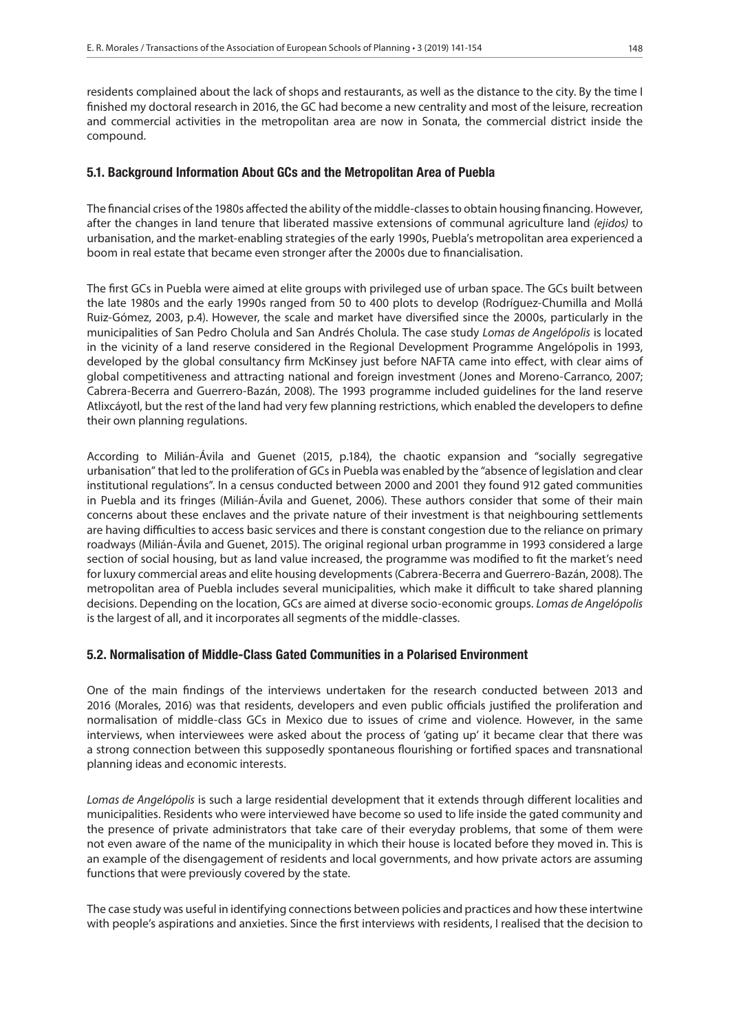residents complained about the lack of shops and restaurants, as well as the distance to the city. By the time I finished my doctoral research in 2016, the GC had become a new centrality and most of the leisure, recreation and commercial activities in the metropolitan area are now in Sonata, the commercial district inside the compound.

#### 5.1. Background Information About GCs and the Metropolitan Area of Puebla

The financial crises of the 1980s affected the ability of the middle-classes to obtain housing financing. However, after the changes in land tenure that liberated massive extensions of communal agriculture land *(ejidos)* to urbanisation, and the market-enabling strategies of the early 1990s, Puebla's metropolitan area experienced a boom in real estate that became even stronger after the 2000s due to financialisation.

The first GCs in Puebla were aimed at elite groups with privileged use of urban space. The GCs built between the late 1980s and the early 1990s ranged from 50 to 400 plots to develop (Rodríguez-Chumilla and Mollá Ruiz-Gómez, 2003, p.4). However, the scale and market have diversified since the 2000s, particularly in the municipalities of San Pedro Cholula and San Andrés Cholula. The case study *Lomas de Angelópolis* is located in the vicinity of a land reserve considered in the Regional Development Programme Angelópolis in 1993, developed by the global consultancy firm McKinsey just before NAFTA came into effect, with clear aims of global competitiveness and attracting national and foreign investment (Jones and Moreno-Carranco, 2007; Cabrera-Becerra and Guerrero-Bazán, 2008). The 1993 programme included guidelines for the land reserve Atlixcáyotl, but the rest of the land had very few planning restrictions, which enabled the developers to define their own planning regulations.

According to Milián-Ávila and Guenet (2015, p.184), the chaotic expansion and "socially segregative urbanisation" that led to the proliferation of GCs in Puebla was enabled by the "absence of legislation and clear institutional regulations". In a census conducted between 2000 and 2001 they found 912 gated communities in Puebla and its fringes (Milián-Ávila and Guenet, 2006). These authors consider that some of their main concerns about these enclaves and the private nature of their investment is that neighbouring settlements are having difficulties to access basic services and there is constant congestion due to the reliance on primary roadways (Milián-Ávila and Guenet, 2015). The original regional urban programme in 1993 considered a large section of social housing, but as land value increased, the programme was modified to fit the market's need for luxury commercial areas and elite housing developments (Cabrera-Becerra and Guerrero-Bazán, 2008). The metropolitan area of Puebla includes several municipalities, which make it difficult to take shared planning decisions. Depending on the location, GCs are aimed at diverse socio-economic groups. *Lomas de Angelópolis*  is the largest of all, and it incorporates all segments of the middle-classes.

#### 5.2. Normalisation of Middle-Class Gated Communities in a Polarised Environment

One of the main findings of the interviews undertaken for the research conducted between 2013 and 2016 (Morales, 2016) was that residents, developers and even public officials justified the proliferation and normalisation of middle-class GCs in Mexico due to issues of crime and violence. However, in the same interviews, when interviewees were asked about the process of 'gating up' it became clear that there was a strong connection between this supposedly spontaneous flourishing or fortified spaces and transnational planning ideas and economic interests.

*Lomas de Angelópolis* is such a large residential development that it extends through different localities and municipalities. Residents who were interviewed have become so used to life inside the gated community and the presence of private administrators that take care of their everyday problems, that some of them were not even aware of the name of the municipality in which their house is located before they moved in. This is an example of the disengagement of residents and local governments, and how private actors are assuming functions that were previously covered by the state.

The case study was useful in identifying connections between policies and practices and how these intertwine with people's aspirations and anxieties. Since the first interviews with residents, I realised that the decision to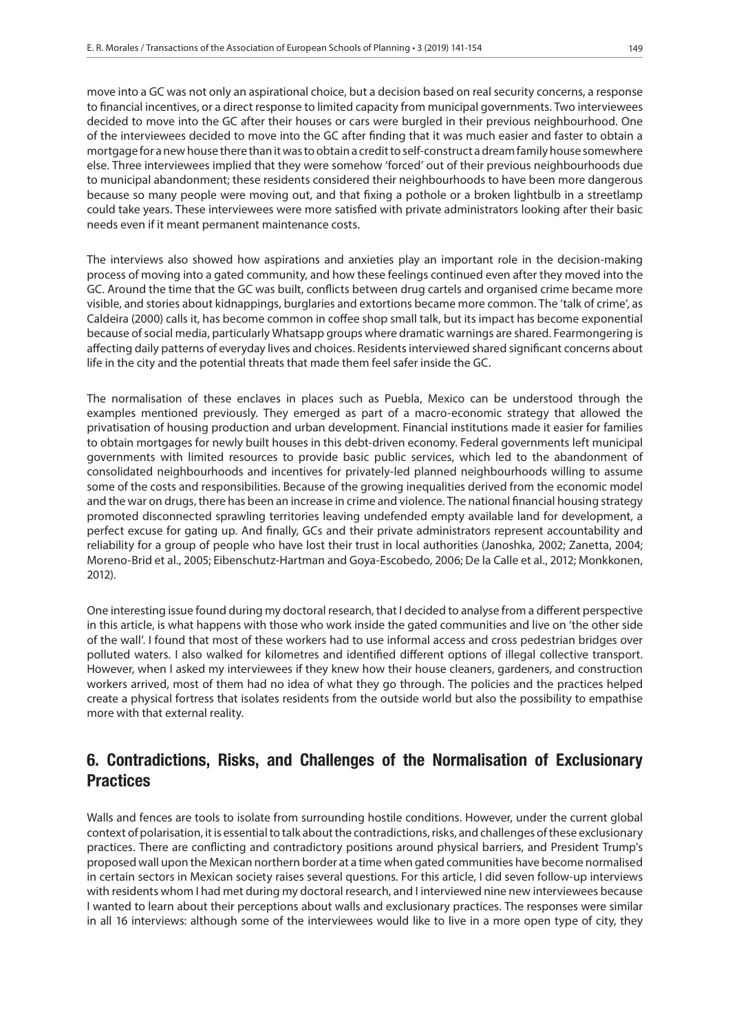move into a GC was not only an aspirational choice, but a decision based on real security concerns, a response to financial incentives, or a direct response to limited capacity from municipal governments. Two interviewees decided to move into the GC after their houses or cars were burgled in their previous neighbourhood. One of the interviewees decided to move into the GC after finding that it was much easier and faster to obtain a mortgage for a new house there than it was to obtain a credit to self-construct a dream family house somewhere else. Three interviewees implied that they were somehow 'forced' out of their previous neighbourhoods due to municipal abandonment; these residents considered their neighbourhoods to have been more dangerous because so many people were moving out, and that fixing a pothole or a broken lightbulb in a streetlamp could take years. These interviewees were more satisfied with private administrators looking after their basic needs even if it meant permanent maintenance costs.

The interviews also showed how aspirations and anxieties play an important role in the decision-making process of moving into a gated community, and how these feelings continued even after they moved into the GC. Around the time that the GC was built, conflicts between drug cartels and organised crime became more visible, and stories about kidnappings, burglaries and extortions became more common. The 'talk of crime', as Caldeira (2000) calls it, has become common in coffee shop small talk, but its impact has become exponential because of social media, particularly Whatsapp groups where dramatic warnings are shared. Fearmongering is affecting daily patterns of everyday lives and choices. Residents interviewed shared significant concerns about life in the city and the potential threats that made them feel safer inside the GC.

The normalisation of these enclaves in places such as Puebla, Mexico can be understood through the examples mentioned previously. They emerged as part of a macro-economic strategy that allowed the privatisation of housing production and urban development. Financial institutions made it easier for families to obtain mortgages for newly built houses in this debt-driven economy. Federal governments left municipal governments with limited resources to provide basic public services, which led to the abandonment of consolidated neighbourhoods and incentives for privately-led planned neighbourhoods willing to assume some of the costs and responsibilities. Because of the growing inequalities derived from the economic model and the war on drugs, there has been an increase in crime and violence. The national financial housing strategy promoted disconnected sprawling territories leaving undefended empty available land for development, a perfect excuse for gating up. And finally, GCs and their private administrators represent accountability and reliability for a group of people who have lost their trust in local authorities (Janoshka, 2002; Zanetta, 2004; Moreno-Brid et al., 2005; Eibenschutz-Hartman and Goya-Escobedo, 2006; De la Calle et al., 2012; Monkkonen, 2012).

One interesting issue found during my doctoral research, that I decided to analyse from a different perspective in this article, is what happens with those who work inside the gated communities and live on 'the other side of the wall'. I found that most of these workers had to use informal access and cross pedestrian bridges over polluted waters. I also walked for kilometres and identified different options of illegal collective transport. However, when I asked my interviewees if they knew how their house cleaners, gardeners, and construction workers arrived, most of them had no idea of what they go through. The policies and the practices helped create a physical fortress that isolates residents from the outside world but also the possibility to empathise more with that external reality.

# 6. Contradictions, Risks, and Challenges of the Normalisation of Exclusionary **Practices**

Walls and fences are tools to isolate from surrounding hostile conditions. However, under the current global context of polarisation, it is essential to talk about the contradictions, risks, and challenges of these exclusionary practices. There are conflicting and contradictory positions around physical barriers, and President Trump's proposed wall upon the Mexican northern border at a time when gated communities have become normalised in certain sectors in Mexican society raises several questions. For this article, I did seven follow-up interviews with residents whom I had met during my doctoral research, and I interviewed nine new interviewees because I wanted to learn about their perceptions about walls and exclusionary practices. The responses were similar in all 16 interviews: although some of the interviewees would like to live in a more open type of city, they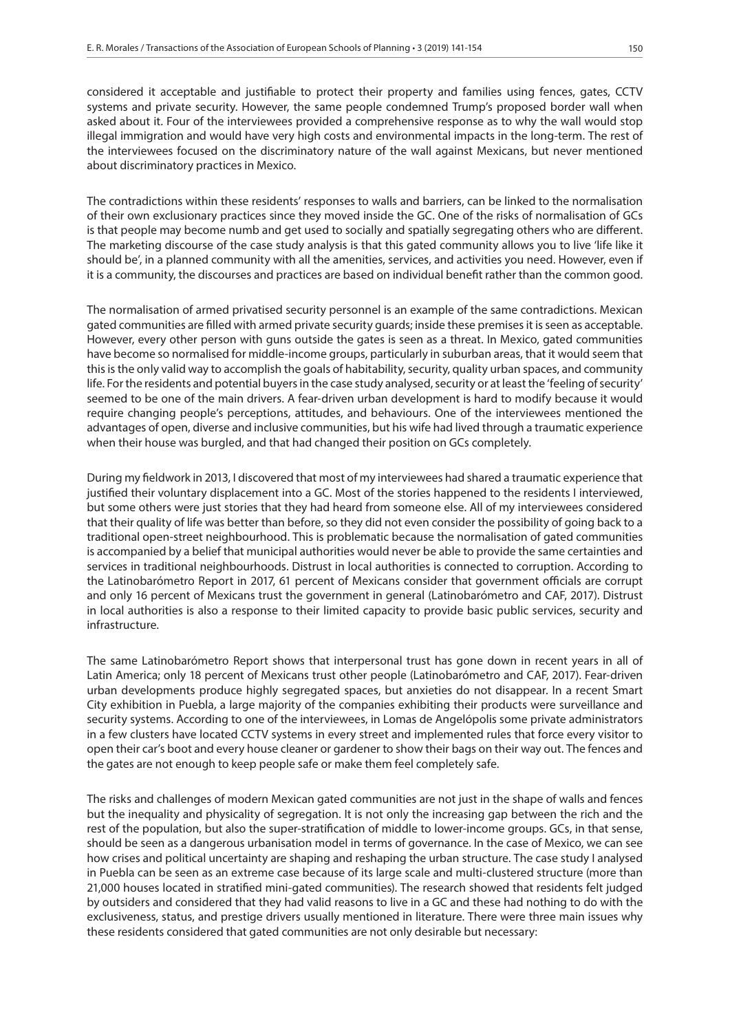considered it acceptable and justifiable to protect their property and families using fences, gates, CCTV systems and private security. However, the same people condemned Trump's proposed border wall when asked about it. Four of the interviewees provided a comprehensive response as to why the wall would stop illegal immigration and would have very high costs and environmental impacts in the long-term. The rest of the interviewees focused on the discriminatory nature of the wall against Mexicans, but never mentioned about discriminatory practices in Mexico.

The contradictions within these residents' responses to walls and barriers, can be linked to the normalisation of their own exclusionary practices since they moved inside the GC. One of the risks of normalisation of GCs is that people may become numb and get used to socially and spatially segregating others who are different. The marketing discourse of the case study analysis is that this gated community allows you to live 'life like it should be', in a planned community with all the amenities, services, and activities you need. However, even if it is a community, the discourses and practices are based on individual benefit rather than the common good.

The normalisation of armed privatised security personnel is an example of the same contradictions. Mexican gated communities are filled with armed private security guards; inside these premises it is seen as acceptable. However, every other person with guns outside the gates is seen as a threat. In Mexico, gated communities have become so normalised for middle-income groups, particularly in suburban areas, that it would seem that this is the only valid way to accomplish the goals of habitability, security, quality urban spaces, and community life. For the residents and potential buyers in the case study analysed, security or at least the 'feeling of security' seemed to be one of the main drivers. A fear-driven urban development is hard to modify because it would require changing people's perceptions, attitudes, and behaviours. One of the interviewees mentioned the advantages of open, diverse and inclusive communities, but his wife had lived through a traumatic experience when their house was burgled, and that had changed their position on GCs completely.

During my fieldwork in 2013, I discovered that most of my interviewees had shared a traumatic experience that justified their voluntary displacement into a GC. Most of the stories happened to the residents I interviewed, but some others were just stories that they had heard from someone else. All of my interviewees considered that their quality of life was better than before, so they did not even consider the possibility of going back to a traditional open-street neighbourhood. This is problematic because the normalisation of gated communities is accompanied by a belief that municipal authorities would never be able to provide the same certainties and services in traditional neighbourhoods. Distrust in local authorities is connected to corruption. According to the Latinobarómetro Report in 2017, 61 percent of Mexicans consider that government officials are corrupt and only 16 percent of Mexicans trust the government in general (Latinobarómetro and CAF, 2017). Distrust in local authorities is also a response to their limited capacity to provide basic public services, security and infrastructure.

The same Latinobarómetro Report shows that interpersonal trust has gone down in recent years in all of Latin America; only 18 percent of Mexicans trust other people (Latinobarómetro and CAF, 2017). Fear-driven urban developments produce highly segregated spaces, but anxieties do not disappear. In a recent Smart City exhibition in Puebla, a large majority of the companies exhibiting their products were surveillance and security systems. According to one of the interviewees, in Lomas de Angelópolis some private administrators in a few clusters have located CCTV systems in every street and implemented rules that force every visitor to open their car's boot and every house cleaner or gardener to show their bags on their way out. The fences and the gates are not enough to keep people safe or make them feel completely safe.

The risks and challenges of modern Mexican gated communities are not just in the shape of walls and fences but the inequality and physicality of segregation. It is not only the increasing gap between the rich and the rest of the population, but also the super-stratification of middle to lower-income groups. GCs, in that sense, should be seen as a dangerous urbanisation model in terms of governance. In the case of Mexico, we can see how crises and political uncertainty are shaping and reshaping the urban structure. The case study I analysed in Puebla can be seen as an extreme case because of its large scale and multi-clustered structure (more than 21,000 houses located in stratified mini-gated communities). The research showed that residents felt judged by outsiders and considered that they had valid reasons to live in a GC and these had nothing to do with the exclusiveness, status, and prestige drivers usually mentioned in literature. There were three main issues why these residents considered that gated communities are not only desirable but necessary: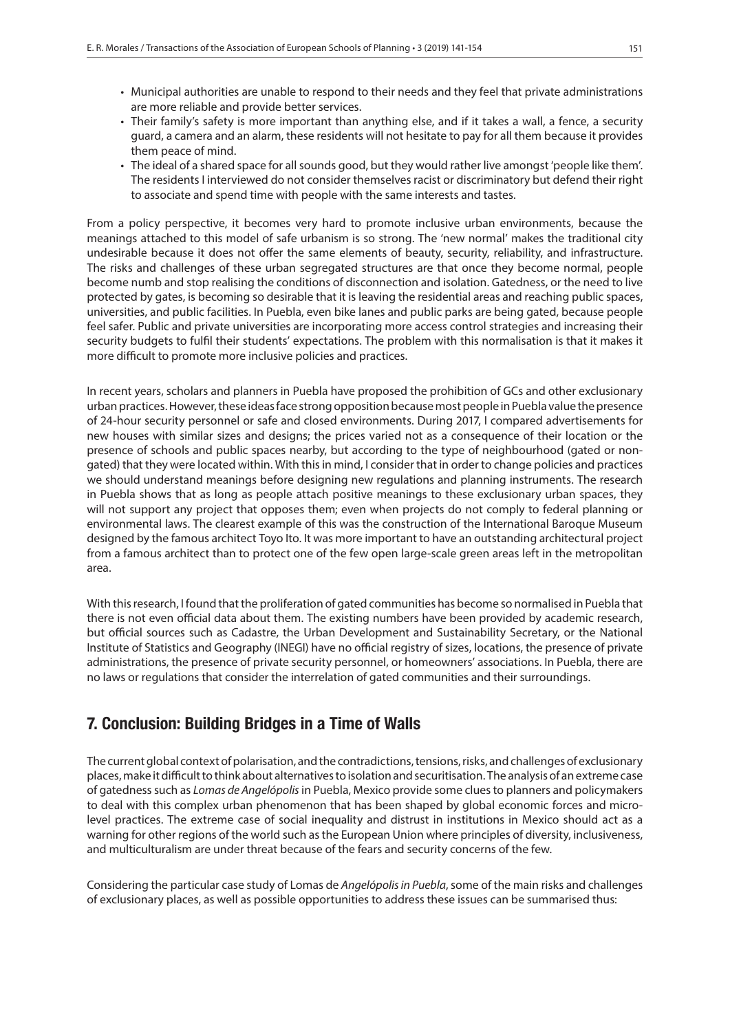- Municipal authorities are unable to respond to their needs and they feel that private administrations are more reliable and provide better services.
- Their family's safety is more important than anything else, and if it takes a wall, a fence, a security guard, a camera and an alarm, these residents will not hesitate to pay for all them because it provides them peace of mind.
- The ideal of a shared space for all sounds good, but they would rather live amongst 'people like them'. The residents I interviewed do not consider themselves racist or discriminatory but defend their right to associate and spend time with people with the same interests and tastes.

From a policy perspective, it becomes very hard to promote inclusive urban environments, because the meanings attached to this model of safe urbanism is so strong. The 'new normal' makes the traditional city undesirable because it does not offer the same elements of beauty, security, reliability, and infrastructure. The risks and challenges of these urban segregated structures are that once they become normal, people become numb and stop realising the conditions of disconnection and isolation. Gatedness, or the need to live protected by gates, is becoming so desirable that it is leaving the residential areas and reaching public spaces, universities, and public facilities. In Puebla, even bike lanes and public parks are being gated, because people feel safer. Public and private universities are incorporating more access control strategies and increasing their security budgets to fulfil their students' expectations. The problem with this normalisation is that it makes it more difficult to promote more inclusive policies and practices.

In recent years, scholars and planners in Puebla have proposed the prohibition of GCs and other exclusionary urban practices. However, these ideas face strong opposition because most people in Puebla value the presence of 24-hour security personnel or safe and closed environments. During 2017, I compared advertisements for new houses with similar sizes and designs; the prices varied not as a consequence of their location or the presence of schools and public spaces nearby, but according to the type of neighbourhood (gated or nongated) that they were located within. With this in mind, I consider that in order to change policies and practices we should understand meanings before designing new regulations and planning instruments. The research in Puebla shows that as long as people attach positive meanings to these exclusionary urban spaces, they will not support any project that opposes them; even when projects do not comply to federal planning or environmental laws. The clearest example of this was the construction of the International Baroque Museum designed by the famous architect Toyo Ito. It was more important to have an outstanding architectural project from a famous architect than to protect one of the few open large-scale green areas left in the metropolitan area.

With this research, I found that the proliferation of gated communities has become so normalised in Puebla that there is not even official data about them. The existing numbers have been provided by academic research, but official sources such as Cadastre, the Urban Development and Sustainability Secretary, or the National Institute of Statistics and Geography (INEGI) have no official registry of sizes, locations, the presence of private administrations, the presence of private security personnel, or homeowners' associations. In Puebla, there are no laws or regulations that consider the interrelation of gated communities and their surroundings.

## 7. Conclusion: Building Bridges in a Time of Walls

The current global context of polarisation, and the contradictions, tensions, risks, and challenges of exclusionary places, make it difficult to think about alternatives to isolation and securitisation. The analysis of an extreme case of gatedness such as *Lomas de Angelópolis* in Puebla, Mexico provide some clues to planners and policymakers to deal with this complex urban phenomenon that has been shaped by global economic forces and microlevel practices. The extreme case of social inequality and distrust in institutions in Mexico should act as a warning for other regions of the world such as the European Union where principles of diversity, inclusiveness, and multiculturalism are under threat because of the fears and security concerns of the few.

Considering the particular case study of Lomas de *Angelópolis in Puebla*, some of the main risks and challenges of exclusionary places, as well as possible opportunities to address these issues can be summarised thus: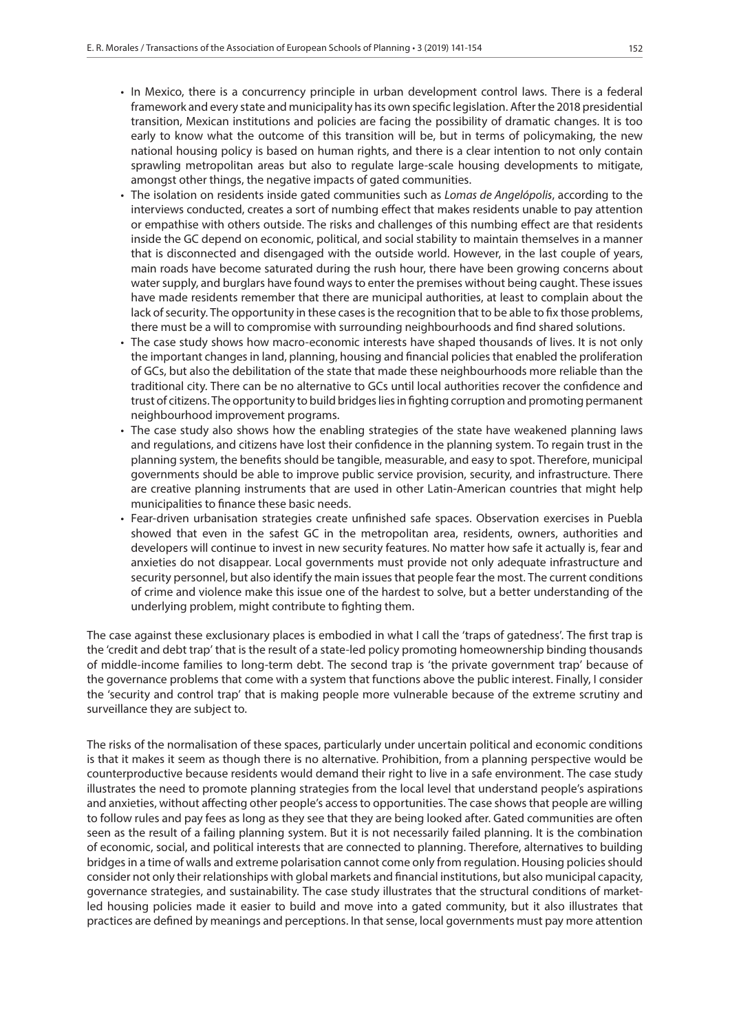- In Mexico, there is a concurrency principle in urban development control laws. There is a federal framework and every state and municipality has its own specific legislation. After the 2018 presidential transition, Mexican institutions and policies are facing the possibility of dramatic changes. It is too early to know what the outcome of this transition will be, but in terms of policymaking, the new national housing policy is based on human rights, and there is a clear intention to not only contain sprawling metropolitan areas but also to regulate large-scale housing developments to mitigate, amongst other things, the negative impacts of gated communities.
- The isolation on residents inside gated communities such as *Lomas de Angelópolis*, according to the interviews conducted, creates a sort of numbing effect that makes residents unable to pay attention or empathise with others outside. The risks and challenges of this numbing effect are that residents inside the GC depend on economic, political, and social stability to maintain themselves in a manner that is disconnected and disengaged with the outside world. However, in the last couple of years, main roads have become saturated during the rush hour, there have been growing concerns about water supply, and burglars have found ways to enter the premises without being caught. These issues have made residents remember that there are municipal authorities, at least to complain about the lack of security. The opportunity in these cases is the recognition that to be able to fix those problems, there must be a will to compromise with surrounding neighbourhoods and find shared solutions.
- The case study shows how macro-economic interests have shaped thousands of lives. It is not only the important changes in land, planning, housing and financial policies that enabled the proliferation of GCs, but also the debilitation of the state that made these neighbourhoods more reliable than the traditional city. There can be no alternative to GCs until local authorities recover the confidence and trust of citizens. The opportunity to build bridges lies in fighting corruption and promoting permanent neighbourhood improvement programs.
- The case study also shows how the enabling strategies of the state have weakened planning laws and regulations, and citizens have lost their confidence in the planning system. To regain trust in the planning system, the benefits should be tangible, measurable, and easy to spot. Therefore, municipal governments should be able to improve public service provision, security, and infrastructure. There are creative planning instruments that are used in other Latin-American countries that might help municipalities to finance these basic needs.
- Fear-driven urbanisation strategies create unfinished safe spaces. Observation exercises in Puebla showed that even in the safest GC in the metropolitan area, residents, owners, authorities and developers will continue to invest in new security features. No matter how safe it actually is, fear and anxieties do not disappear. Local governments must provide not only adequate infrastructure and security personnel, but also identify the main issues that people fear the most. The current conditions of crime and violence make this issue one of the hardest to solve, but a better understanding of the underlying problem, might contribute to fighting them.

The case against these exclusionary places is embodied in what I call the 'traps of gatedness'. The first trap is the 'credit and debt trap' that is the result of a state-led policy promoting homeownership binding thousands of middle-income families to long-term debt. The second trap is 'the private government trap' because of the governance problems that come with a system that functions above the public interest. Finally, I consider the 'security and control trap' that is making people more vulnerable because of the extreme scrutiny and surveillance they are subject to.

The risks of the normalisation of these spaces, particularly under uncertain political and economic conditions is that it makes it seem as though there is no alternative. Prohibition, from a planning perspective would be counterproductive because residents would demand their right to live in a safe environment. The case study illustrates the need to promote planning strategies from the local level that understand people's aspirations and anxieties, without affecting other people's access to opportunities. The case shows that people are willing to follow rules and pay fees as long as they see that they are being looked after. Gated communities are often seen as the result of a failing planning system. But it is not necessarily failed planning. It is the combination of economic, social, and political interests that are connected to planning. Therefore, alternatives to building bridges in a time of walls and extreme polarisation cannot come only from regulation. Housing policies should consider not only their relationships with global markets and financial institutions, but also municipal capacity, governance strategies, and sustainability. The case study illustrates that the structural conditions of marketled housing policies made it easier to build and move into a gated community, but it also illustrates that practices are defined by meanings and perceptions. In that sense, local governments must pay more attention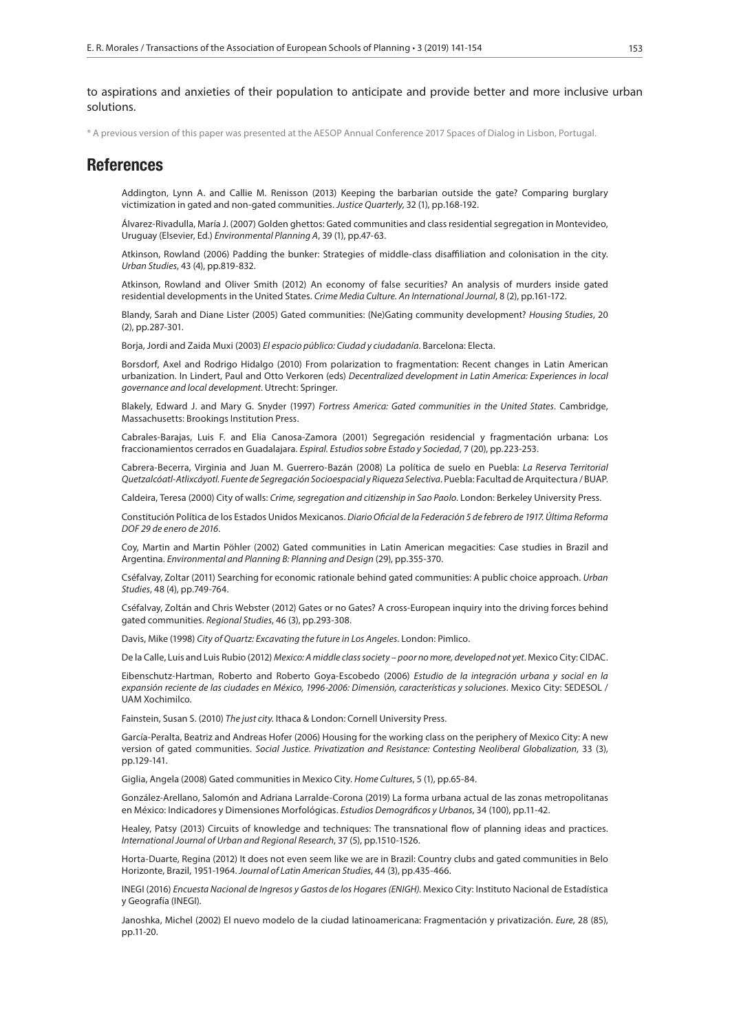to aspirations and anxieties of their population to anticipate and provide better and more inclusive urban solutions.

\* A previous version of this paper was presented at the AESOP Annual Conference 2017 Spaces of Dialog in Lisbon, Portugal.

#### References

Addington, Lynn A. and Callie M. Renisson (2013) Keeping the barbarian outside the gate? Comparing burglary victimization in gated and non-gated communities. *Justice Quarterly*, 32 (1), pp.168-192.

Álvarez-Rivadulla, María J. (2007) Golden ghettos: Gated communities and class residential segregation in Montevideo, Uruguay (Elsevier, Ed.) *Environmental Planning A*, 39 (1), pp.47-63.

Atkinson, Rowland (2006) Padding the bunker: Strategies of middle-class disaffiliation and colonisation in the city. *Urban Studies*, 43 (4), pp.819-832.

Atkinson, Rowland and Oliver Smith (2012) An economy of false securities? An analysis of murders inside gated residential developments in the United States. *Crime Media Culture. An International Journal*, 8 (2), pp.161-172.

Blandy, Sarah and Diane Lister (2005) Gated communities: (Ne)Gating community development? *Housing Studies*, 20 (2), pp.287-301.

Borja, Jordi and Zaida Muxi (2003) *El espacio público: Ciudad y ciudadanía*. Barcelona: Electa.

Borsdorf, Axel and Rodrigo Hidalgo (2010) From polarization to fragmentation: Recent changes in Latin American urbanization. In Lindert, Paul and Otto Verkoren (eds) *Decentralized development in Latin America: Experiences in local governance and local development*. Utrecht: Springer.

Blakely, Edward J. and Mary G. Snyder (1997) *Fortress America: Gated communities in the United States*. Cambridge, Massachusetts: Brookings Institution Press.

Cabrales-Barajas, Luis F. and Elia Canosa-Zamora (2001) Segregación residencial y fragmentación urbana: Los fraccionamientos cerrados en Guadalajara. *Espiral. Estudios sobre Estado y Sociedad*, 7 (20), pp.223-253.

Cabrera-Becerra, Virginia and Juan M. Guerrero-Bazán (2008) La política de suelo en Puebla: *La Reserva Territorial Quetzalcóatl-Atlixcáyotl. Fuente de Segregación Socioespacial y Riqueza Selectiva*. Puebla: Facultad de Arquitectura / BUAP.

Caldeira, Teresa (2000) City of walls: *Crime, segregation and citizenship in Sao Paolo*. London: Berkeley University Press.

Constitución Política de los Estados Unidos Mexicanos. *Diario Oficial de la Federación 5 de febrero de 1917. Última Reforma DOF 29 de enero de 2016*.

Coy, Martin and Martin Pöhler (2002) Gated communities in Latin American megacities: Case studies in Brazil and Argentina. *Environmental and Planning B: Planning and Design* (29), pp.355-370.

Cséfalvay, Zoltar (2011) Searching for economic rationale behind gated communities: A public choice approach. *Urban Studies*, 48 (4), pp.749-764.

Cséfalvay, Zoltán and Chris Webster (2012) Gates or no Gates? A cross-European inquiry into the driving forces behind gated communities. *Regional Studies*, 46 (3), pp.293-308.

Davis, Mike (1998) *City of Quartz: Excavating the future in Los Angeles*. London: Pimlico.

De la Calle, Luis and Luis Rubio (2012) *Mexico: A middle class society – poor no more, developed not yet*. Mexico City: CIDAC.

Eibenschutz-Hartman, Roberto and Roberto Goya-Escobedo (2006) *Estudio de la integración urbana y social en la expansión reciente de las ciudades en México, 1996-2006: Dimensión, características y soluciones*. Mexico City: SEDESOL / UAM Xochimilco.

Fainstein, Susan S. (2010) *The just city*. Ithaca & London: Cornell University Press.

García-Peralta, Beatriz and Andreas Hofer (2006) Housing for the working class on the periphery of Mexico City: A new version of gated communities. *Social Justice. Privatization and Resistance: Contesting Neoliberal Globalization*, 33 (3), pp.129-141.

Giglia, Angela (2008) Gated communities in Mexico City. *Home Cultures*, 5 (1), pp.65-84.

González-Arellano, Salomón and Adriana Larralde-Corona (2019) La forma urbana actual de las zonas metropolitanas en México: Indicadores y Dimensiones Morfológicas. *Estudios Demográficos y Urbanos*, 34 (100), pp.11-42.

Healey, Patsy (2013) Circuits of knowledge and techniques: The transnational flow of planning ideas and practices. *International Journal of Urban and Regional Research*, 37 (5), pp.1510-1526.

Horta-Duarte, Regina (2012) It does not even seem like we are in Brazil: Country clubs and gated communities in Belo Horizonte, Brazil, 1951-1964. *Journal of Latin American Studies*, 44 (3), pp.435-466.

INEGI (2016) *Encuesta Nacional de Ingresos y Gastos de los Hogares (ENIGH)*. Mexico City: Instituto Nacional de Estadística y Geografía (INEGI).

Janoshka, Michel (2002) El nuevo modelo de la ciudad latinoamericana: Fragmentación y privatización. *Eure*, 28 (85), pp.11-20.